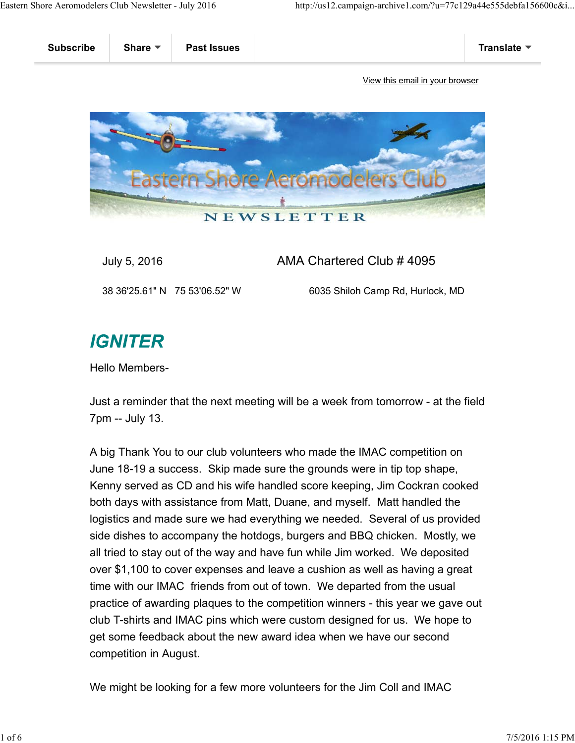

## July 5, 2016 AMA Chartered Club # 4095

38 36'25.61" N 75 53'06.52" W 6035 Shiloh Camp Rd, Hurlock, MD

## **IGNITER**

Hello Members-

Just a reminder that the next meeting will be a week from tomorrow - at the field 7pm -- July 13.

A big Thank You to our club volunteers who made the IMAC competition on June 18-19 a success. Skip made sure the grounds were in tip top shape, Kenny served as CD and his wife handled score keeping, Jim Cockran cooked both days with assistance from Matt, Duane, and myself. Matt handled the logistics and made sure we had everything we needed. Several of us provided side dishes to accompany the hotdogs, burgers and BBQ chicken. Mostly, we all tried to stay out of the way and have fun while Jim worked. We deposited over \$1,100 to cover expenses and leave a cushion as well as having a great time with our IMAC friends from out of town. We departed from the usual practice of awarding plaques to the competition winners - this year we gave out club T-shirts and IMAC pins which were custom designed for us. We hope to get some feedback about the new award idea when we have our second competition in August.

We might be looking for a few more volunteers for the Jim Coll and IMAC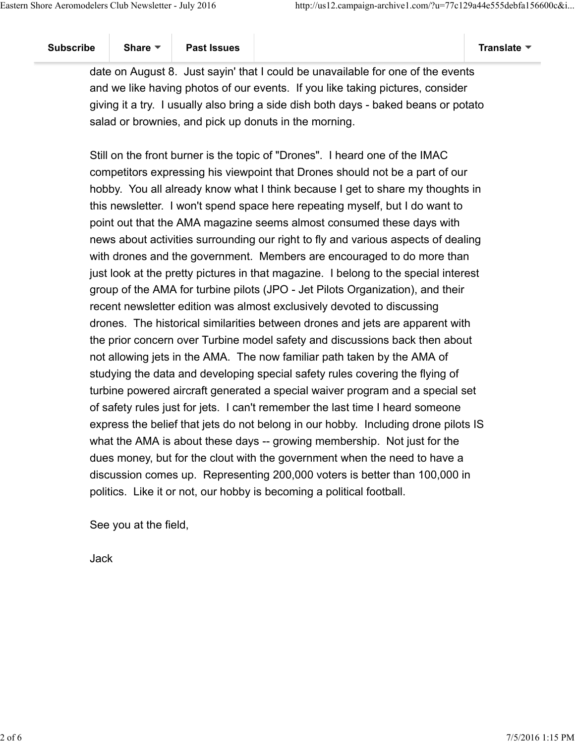date on August 8. Just sayin' that I could be unavailable for one of the events and we like having photos of our events. If you like taking pictures, consider giving it a try. I usually also bring a side dish both days - baked beans or potato salad or brownies, and pick up donuts in the morning.

Still on the front burner is the topic of "Drones". I heard one of the IMAC competitors expressing his viewpoint that Drones should not be a part of our hobby. You all already know what I think because I get to share my thoughts in this newsletter. I won't spend space here repeating myself, but I do want to point out that the AMA magazine seems almost consumed these days with news about activities surrounding our right to fly and various aspects of dealing with drones and the government. Members are encouraged to do more than just look at the pretty pictures in that magazine. I belong to the special interest group of the AMA for turbine pilots (JPO - Jet Pilots Organization), and their recent newsletter edition was almost exclusively devoted to discussing drones. The historical similarities between drones and jets are apparent with the prior concern over Turbine model safety and discussions back then about not allowing jets in the AMA. The now familiar path taken by the AMA of studying the data and developing special safety rules covering the flying of turbine powered aircraft generated a special waiver program and a special set of safety rules just for jets. I can't remember the last time I heard someone express the belief that jets do not belong in our hobby. Including drone pilots IS what the AMA is about these days -- growing membership. Not just for the dues money, but for the clout with the government when the need to have a discussion comes up. Representing 200,000 voters is better than 100,000 in politics. Like it or not, our hobby is becoming a political football.

See you at the field,

Jack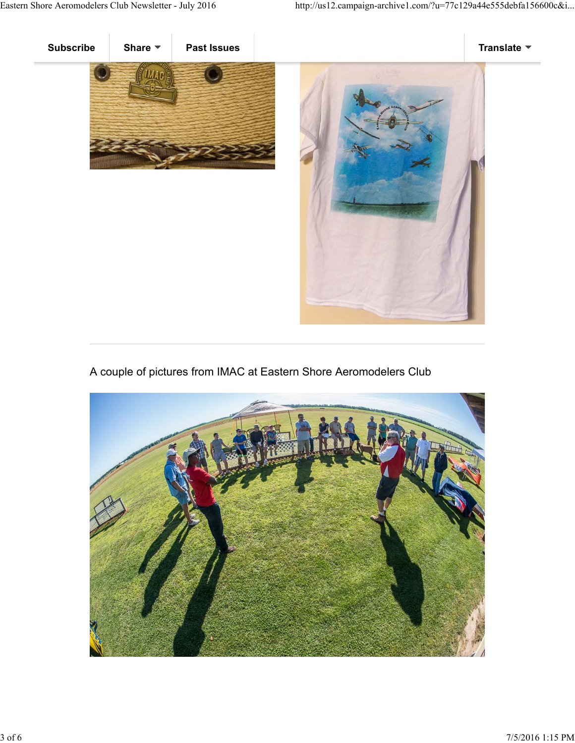



A couple of pictures from IMAC at Eastern Shore Aeromodelers Club

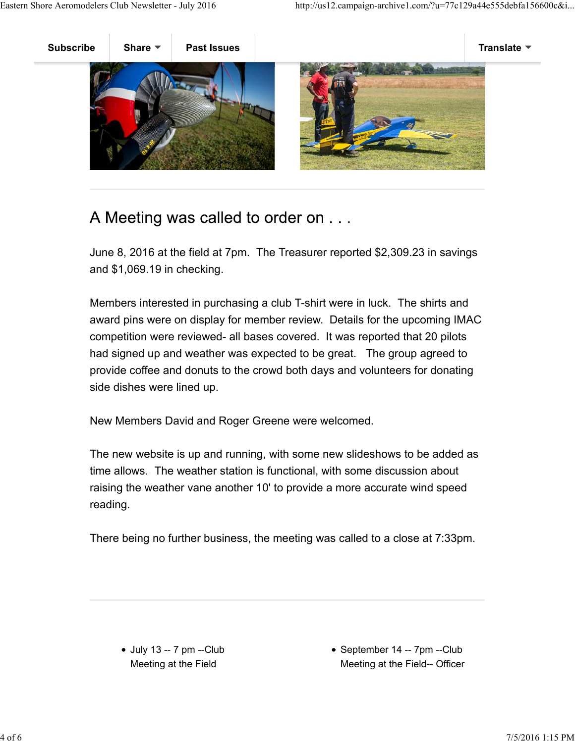

## A Meeting was called to order on . . .

June 8, 2016 at the field at 7pm. The Treasurer reported \$2,309.23 in savings and \$1,069.19 in checking.

Members interested in purchasing a club T-shirt were in luck. The shirts and award pins were on display for member review. Details for the upcoming IMAC competition were reviewed- all bases covered. It was reported that 20 pilots had signed up and weather was expected to be great. The group agreed to provide coffee and donuts to the crowd both days and volunteers for donating side dishes were lined up.

New Members David and Roger Greene were welcomed.

The new website is up and running, with some new slideshows to be added as time allows. The weather station is functional, with some discussion about raising the weather vane another 10' to provide a more accurate wind speed reading.

There being no further business, the meeting was called to a close at 7:33pm.

• September 14 -- 7pm --Club Meeting at the Field-- Officer